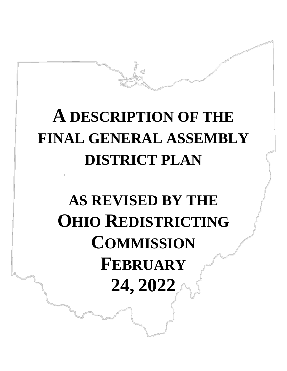## **A DESCRIPTION OF THE FINAL GENERAL ASSEMBLY DISTRICT PLAN**

# **AS REVISED BY THE OHIO REDISTRICTING COMMISSION FEBRUARY 24, 2022**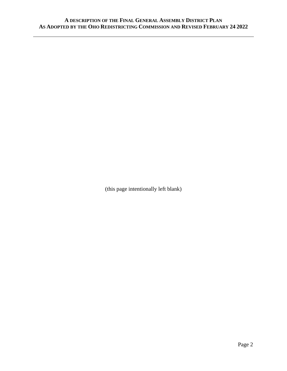(this page intentionally left blank)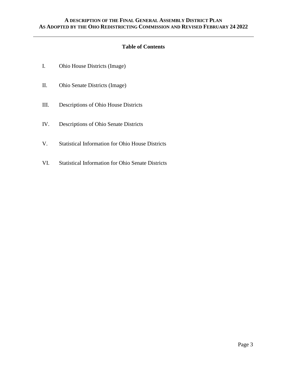## **Table of Contents**

- I. Ohio House Districts (Image)
- II. Ohio Senate Districts (Image)
- III. Descriptions of Ohio House Districts
- IV. Descriptions of Ohio Senate Districts
- V. Statistical Information for Ohio House Districts
- VI. Statistical Information for Ohio Senate Districts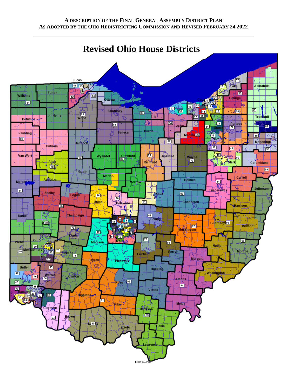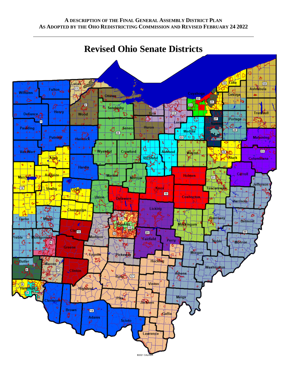

## **Revised Ohio Senate Districts**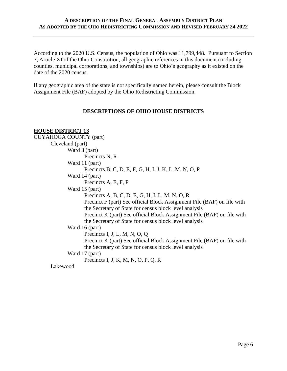According to the 2020 U.S. Census, the population of Ohio was 11,799,448. Pursuant to Section 7, Article XI of the Ohio Constitution, all geographic references in this document (including counties, municipal corporations, and townships) are to Ohio's geography as it existed on the date of the 2020 census.

If any geographic area of the state is not specifically named herein, please consult the Block Assignment File (BAF) adopted by the Ohio Redistricting Commission.

## **DESCRIPTIONS OF OHIO HOUSE DISTRICTS**

**HOUSE DISTRICT 13** CUYAHOGA COUNTY (part) Cleveland (part) Ward 3 (part) Precincts N, R Ward 11 (part) Precincts B, C, D, E, F, G, H, I, J, K, L, M, N, O, P Ward 14 (part) Precincts A, E, F, P Ward 15 (part) Precincts A, B, C, D, E, G, H, I, L, M, N, O, R Precinct F (part) See official Block Assignment File (BAF) on file with the Secretary of State for census block level analysis Precinct K (part) See official Block Assignment File (BAF) on file with the Secretary of State for census block level analysis Ward 16 (part) Precincts I, J, L, M, N, O, Q Precinct K (part) See official Block Assignment File (BAF) on file with the Secretary of State for census block level analysis Ward 17 (part) Precincts I, J, K, M, N, O, P, Q, R Lakewood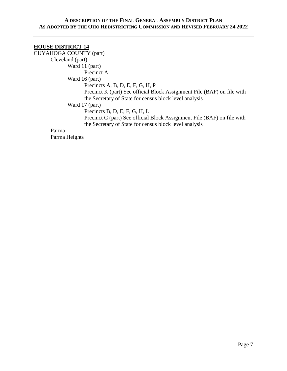## **HOUSE DISTRICT 14**

CUYAHOGA COUNTY (part) Cleveland (part) Ward 11 (part) Precinct A Ward 16 (part) Precincts A, B, D, E, F, G, H, P Precinct K (part) See official Block Assignment File (BAF) on file with the Secretary of State for census block level analysis Ward 17 (part) Precincts B, D, E, F, G, H, L Precinct C (part) See official Block Assignment File (BAF) on file with the Secretary of State for census block level analysis Parma

Parma Heights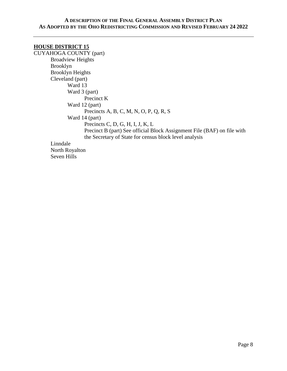## **HOUSE DISTRICT 15**

CUYAHOGA COUNTY (part) Broadview Heights Brooklyn Brooklyn Heights Cleveland (part) Ward 13 Ward 3 (part) Precinct K Ward 12 (part) Precincts A, B, C, M, N, O, P, Q, R, S Ward 14 (part) Precincts C, D, G, H, I, J, K, L Precinct B (part) See official Block Assignment File (BAF) on file with the Secretary of State for census block level analysis Linndale North Royalton Seven Hills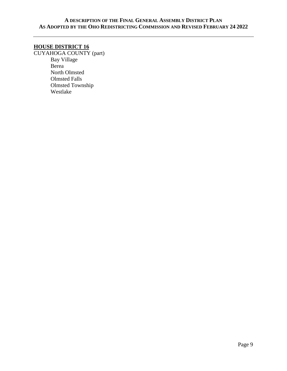#### **HOUSE DISTRICT 16**

CUYAHOGA COUNTY (part) Bay Village Berea North Olmsted Olmsted Falls Olmsted Township Westlake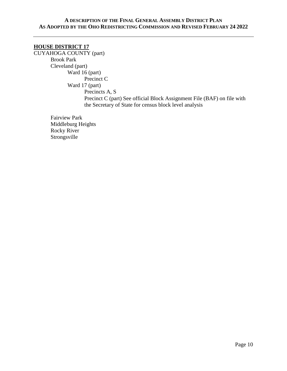## **HOUSE DISTRICT 17**

CUYAHOGA COUNTY (part) Brook Park Cleveland (part) Ward 16 (part) Precinct C Ward 17 (part) Precincts A, S Precinct C (part) See official Block Assignment File (BAF) on file with the Secretary of State for census block level analysis

Fairview Park Middleburg Heights Rocky River Strongsville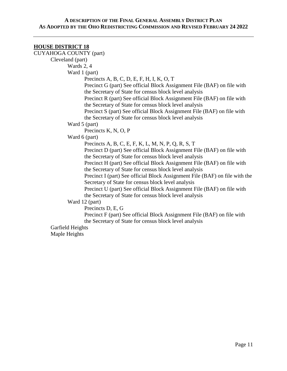## **HOUSE DISTRICT 18**

CUYAHOGA COUNTY (part) Cleveland (part) Wards 2, 4 Ward 1 (part) Precincts A, B, C, D, E, F, H, I, K, O, T Precinct G (part) See official Block Assignment File (BAF) on file with the Secretary of State for census block level analysis Precinct R (part) See official Block Assignment File (BAF) on file with the Secretary of State for census block level analysis Precinct S (part) See official Block Assignment File (BAF) on file with the Secretary of State for census block level analysis Ward 5 (part) Precincts K, N, O, P Ward 6 (part) Precincts A, B, C, E, F, K, L, M, N, P, Q, R, S, T Precinct D (part) See official Block Assignment File (BAF) on file with the Secretary of State for census block level analysis Precinct H (part) See official Block Assignment File (BAF) on file with the Secretary of State for census block level analysis Precinct I (part) See official Block Assignment File (BAF) on file with the Secretary of State for census block level analysis Precinct U (part) See official Block Assignment File (BAF) on file with the Secretary of State for census block level analysis Ward 12 (part) Precincts D, E, G Precinct F (part) See official Block Assignment File (BAF) on file with the Secretary of State for census block level analysis Garfield Heights Maple Heights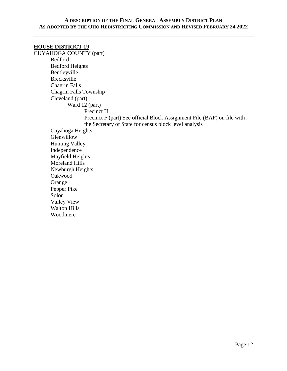## **HOUSE DISTRICT 19**

CUYAHOGA COUNTY (part) Bedford Bedford Heights Bentleyville Brecksville Chagrin Falls Chagrin Falls Township Cleveland (part) Ward 12 (part) Precinct H Precinct F (part) See official Block Assignment File (BAF) on file with the Secretary of State for census block level analysis Cuyahoga Heights Glenwillow Hunting Valley Independence Mayfield Heights Moreland Hills Newburgh Heights Oakwood Orange Pepper Pike Solon Valley View Walton Hills Woodmere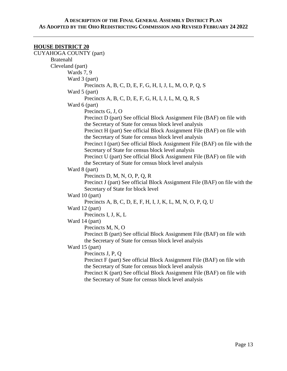#### **HOUSE DISTRICT 20**

| <u>IIO USE DISTINCT 40</u>                                                                                                        |  |
|-----------------------------------------------------------------------------------------------------------------------------------|--|
| <b>CUYAHOGA COUNTY (part)</b>                                                                                                     |  |
| <b>Bratenahl</b>                                                                                                                  |  |
| Cleveland (part)                                                                                                                  |  |
| Wards 7, 9                                                                                                                        |  |
| Ward 3 (part)                                                                                                                     |  |
| Precincts A, B, C, D, E, F, G, H, I, J, L, M, O, P, Q, S                                                                          |  |
| Ward 5 (part)                                                                                                                     |  |
| Precincts A, B, C, D, E, F, G, H, I, J, L, M, Q, R, S                                                                             |  |
| Ward 6 (part)                                                                                                                     |  |
| Precincts G, J, O                                                                                                                 |  |
| Precinct D (part) See official Block Assignment File (BAF) on file with<br>the Secretary of State for census block level analysis |  |
|                                                                                                                                   |  |
| Precinct H (part) See official Block Assignment File (BAF) on file with                                                           |  |
| the Secretary of State for census block level analysis                                                                            |  |
| Precinct I (part) See official Block Assignment File (BAF) on file with the                                                       |  |
| Secretary of State for census block level analysis                                                                                |  |
| Precinct U (part) See official Block Assignment File (BAF) on file with                                                           |  |
| the Secretary of State for census block level analysis                                                                            |  |
| Ward 8 (part)<br>Precincts D, M, N, O, P, Q, R                                                                                    |  |
| Precinct J (part) See official Block Assignment File (BAF) on file with the                                                       |  |
| Secretary of State for block level                                                                                                |  |
| Ward 10 (part)                                                                                                                    |  |
| Precincts A, B, C, D, E, F, H, I, J, K, L, M, N, O, P, Q, U                                                                       |  |
| Ward 12 (part)                                                                                                                    |  |
| Precincts I, J, K, L                                                                                                              |  |
| Ward 14 (part)                                                                                                                    |  |
| Precincts M, N, O                                                                                                                 |  |
| Precinct B (part) See official Block Assignment File (BAF) on file with                                                           |  |
| the Secretary of State for census block level analysis                                                                            |  |
| Ward 15 (part)                                                                                                                    |  |
| Precincts J, P, Q                                                                                                                 |  |
| Precinct F (part) See official Block Assignment File (BAF) on file with                                                           |  |
| the Secretary of State for census block level analysis                                                                            |  |
| Precinct K (part) See official Block Assignment File (BAF) on file with                                                           |  |
| the Secretary of State for census block level analysis                                                                            |  |
|                                                                                                                                   |  |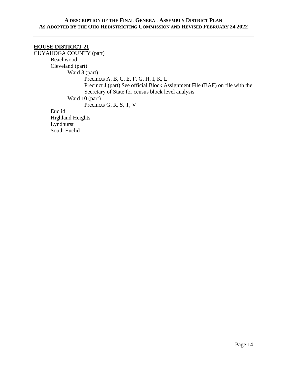## **HOUSE DISTRICT 21**

CUYAHOGA COUNTY (part) Beachwood Cleveland (part) Ward 8 (part) Precincts A, B, C, E, F, G, H, I, K, L Precinct J (part) See official Block Assignment File (BAF) on file with the Secretary of State for census block level analysis Ward 10 (part) Precincts G, R, S, T, V Euclid Highland Heights Lyndhurst South Euclid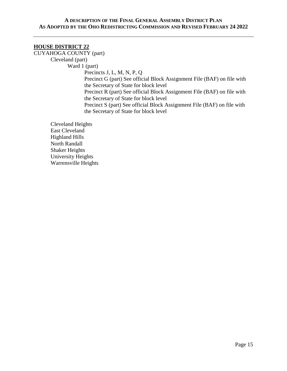## **HOUSE DISTRICT 22**

CUYAHOGA COUNTY (part)

Cleveland (part)

Ward 1 (part)

Precincts J, L, M, N, P, Q

Precinct G (part) See official Block Assignment File (BAF) on file with the Secretary of State for block level

Precinct R (part) See official Block Assignment File (BAF) on file with the Secretary of State for block level

Precinct S (part) See official Block Assignment File (BAF) on file with the Secretary of State for block level

Cleveland Heights East Cleveland Highland Hills North Randall Shaker Heights University Heights Warrensville Heights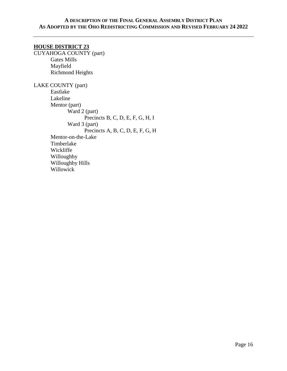#### **HOUSE DISTRICT 23**

CUYAHOGA COUNTY (part) Gates Mills Mayfield Richmond Heights

LAKE COUNTY (part) Eastlake Lakeline Mentor (part) Ward 2 (part) Precincts B, C, D, E, F, G, H, I Ward 3 (part) Precincts A, B, C, D, E, F, G, H Mentor-on-the-Lake Timberlake Wickliffe Willoughby Willoughby Hills Willowick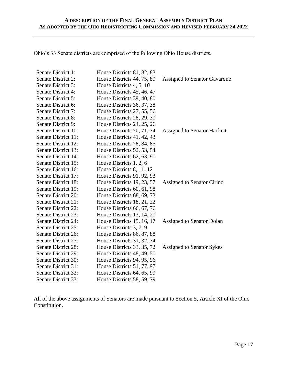Ohio's 33 Senate districts are comprised of the following Ohio House districts.

| Senate District 1:  | House Districts 81, 82, 83 |                                     |
|---------------------|----------------------------|-------------------------------------|
| Senate District 2:  | House Districts 44, 75, 89 | <b>Assigned to Senator Gavarone</b> |
| Senate District 3:  | House Districts 4, 5, 10   |                                     |
| Senate District 4:  | House Districts 45, 46, 47 |                                     |
| Senate District 5:  | House Districts 39, 40, 80 |                                     |
| Senate District 6:  | House Districts 36, 37, 38 |                                     |
| Senate District 7:  | House Districts 27, 55, 56 |                                     |
| Senate District 8:  | House Districts 28, 29, 30 |                                     |
| Senate District 9:  | House Districts 24, 25, 26 |                                     |
| Senate District 10: | House Districts 70, 71, 74 | <b>Assigned to Senator Hackett</b>  |
| Senate District 11: | House Districts 41, 42, 43 |                                     |
| Senate District 12: | House Districts 78, 84, 85 |                                     |
| Senate District 13: | House Districts 52, 53, 54 |                                     |
| Senate District 14: | House Districts 62, 63, 90 |                                     |
| Senate District 15: | House Districts 1, 2, 6    |                                     |
| Senate District 16: | House Districts 8, 11, 12  |                                     |
| Senate District 17: | House Districts 91, 92, 93 |                                     |
| Senate District 18: | House Districts 19, 23, 57 | Assigned to Senator Cirino          |
| Senate District 19: | House Districts 60, 61, 98 |                                     |
| Senate District 20: | House Districts 68, 69, 73 |                                     |
| Senate District 21: | House Districts 18, 21, 22 |                                     |
| Senate District 22: | House Districts 66, 67, 76 |                                     |
| Senate District 23: | House Districts 13, 14, 20 |                                     |
| Senate District 24: | House Districts 15, 16, 17 | Assigned to Senator Dolan           |
| Senate District 25: | House Districts 3, 7, 9    |                                     |
| Senate District 26: | House Districts 86, 87, 88 |                                     |
| Senate District 27: | House Districts 31, 32, 34 |                                     |
| Senate District 28: | House Districts 33, 35, 72 | <b>Assigned to Senator Sykes</b>    |
| Senate District 29: | House Districts 48, 49, 50 |                                     |
| Senate District 30: | House Districts 94, 95, 96 |                                     |
| Senate District 31: | House Districts 51, 77, 97 |                                     |
| Senate District 32: | House Districts 64, 65, 99 |                                     |
| Senate District 33: | House Districts 58, 59, 79 |                                     |

All of the above assignments of Senators are made pursuant to Section 5, Article XI of the Ohio Constitution.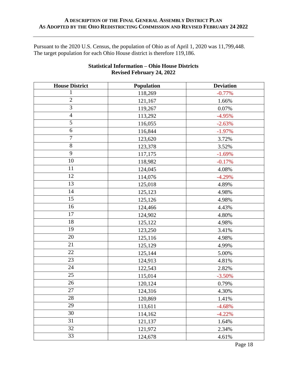Pursuant to the 2020 U.S. Census, the population of Ohio as of April 1, 2020 was 11,799,448. The target population for each Ohio House district is therefore 119,186.

| <b>House District</b> | <b>Population</b> | <b>Deviation</b> |
|-----------------------|-------------------|------------------|
| 1                     | 118,269           | $-0.77%$         |
| $\mathbf{2}$          | 121,167           | 1.66%            |
| $\overline{3}$        | 119,267           | 0.07%            |
| $\overline{4}$        | 113,292           | $-4.95%$         |
| 5                     | 116,055           | $-2.63%$         |
| $\boldsymbol{6}$      | 116,844           | $-1.97%$         |
| $\overline{7}$        | 123,620           | 3.72%            |
| $8\,$                 | 123,378           | 3.52%            |
| 9                     | 117,175           | $-1.69%$         |
| 10                    | 118,982           | $-0.17%$         |
| 11                    | 124,045           | 4.08%            |
| 12                    | 114,076           | $-4.29%$         |
| 13                    | 125,018           | 4.89%            |
| 14                    | 125,123           | 4.98%            |
| 15                    | 125,126           | 4.98%            |
| 16                    | 124,466           | 4.43%            |
| 17                    | 124,902           | 4.80%            |
| 18                    | 125,122           | 4.98%            |
| 19                    | 123,250           | 3.41%            |
| 20                    | 125,116           | 4.98%            |
| 21                    | 125,129           | 4.99%            |
| 22                    | 125,144           | 5.00%            |
| 23                    | 124,913           | 4.81%            |
| 24                    | 122,543           | 2.82%            |
| 25                    | 115,014           | $-3.50%$         |
| 26                    | 120,124           | 0.79%            |
| $27\,$                | 124,316           | 4.30%            |
| 28                    | 120,869           | 1.41%            |
| 29                    | 113,611           | $-4.68%$         |
| 30                    | 114,162           | $-4.22%$         |
| 31                    | 121,137           | 1.64%            |
| 32                    | 121,972           | 2.34%            |
| 33                    | 124,678           | 4.61%            |

## **Statistical Information – Ohio House Districts Revised February 24, 2022**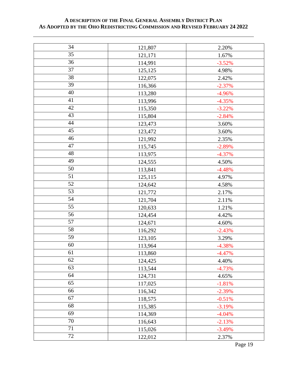| 34     | 121,807 | 2.20%    |
|--------|---------|----------|
| 35     | 121,171 | 1.67%    |
| 36     | 114,991 | $-3.52%$ |
| 37     | 125,125 | 4.98%    |
| 38     | 122,075 | 2.42%    |
| 39     | 116,366 | $-2.37%$ |
| 40     | 113,280 | $-4.96%$ |
| 41     | 113,996 | $-4.35%$ |
| 42     | 115,350 | $-3.22%$ |
| 43     | 115,804 | $-2.84%$ |
| 44     | 123,473 | 3.60%    |
| 45     | 123,472 | 3.60%    |
| 46     | 121,992 | 2.35%    |
| 47     | 115,745 | $-2.89%$ |
| 48     | 113,975 | $-4.37%$ |
| 49     | 124,555 | 4.50%    |
| 50     | 113,841 | $-4.48%$ |
| 51     | 125,115 | 4.97%    |
| 52     | 124,642 | 4.58%    |
| 53     | 121,772 | 2.17%    |
| 54     | 121,704 | 2.11%    |
| 55     | 120,633 | 1.21%    |
| 56     | 124,454 | 4.42%    |
| 57     | 124,671 | 4.60%    |
| 58     | 116,292 | $-2.43%$ |
| 59     | 123,105 | 3.29%    |
| 60     | 113,964 | $-4.38%$ |
| 61     | 113,860 | $-4.47%$ |
| 62     | 124,425 | 4.40%    |
| 63     | 113,544 | $-4.73%$ |
| 64     | 124,731 | 4.65%    |
| 65     | 117,025 | $-1.81%$ |
| 66     | 116,342 | $-2.39%$ |
| 67     | 118,575 | $-0.51%$ |
| 68     | 115,385 | $-3.19%$ |
| 69     | 114,369 | $-4.04%$ |
| 70     | 116,643 | $-2.13%$ |
| 71     | 115,026 | $-3.49%$ |
| $72\,$ | 122,012 | 2.37%    |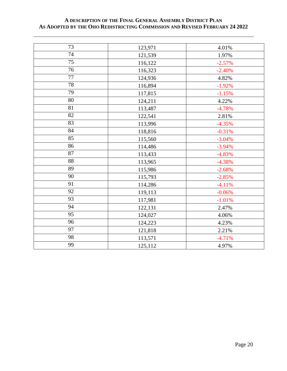| 73 | 123,971 | 4.01%    |
|----|---------|----------|
| 74 | 121,539 | 1.97%    |
| 75 | 116,122 | $-2.57%$ |
| 76 | 116,323 | $-2.40%$ |
| 77 | 124,936 | 4.82%    |
| 78 | 116,894 | $-1.92%$ |
| 79 | 117,815 | $-1.15%$ |
| 80 | 124,211 | 4.22%    |
| 81 | 113,487 | $-4.78%$ |
| 82 | 122,541 | 2.81%    |
| 83 | 113,996 | $-4.35%$ |
| 84 | 118,816 | $-0.31%$ |
| 85 | 115,560 | $-3.04%$ |
| 86 | 114,486 | $-3.94%$ |
| 87 | 113,433 | $-4.83%$ |
| 88 | 113,965 | $-4.38%$ |
| 89 | 115,986 | $-2.68%$ |
| 90 | 115,793 | $-2.85%$ |
| 91 | 114,286 | $-4.11%$ |
| 92 | 119,113 | $-0.06%$ |
| 93 | 117,981 | $-1.01%$ |
| 94 | 122,131 | 2.47%    |
| 95 | 124,027 | 4.06%    |
| 96 | 124,223 | 4.23%    |
| 97 | 121,818 | 2.21%    |
| 98 | 113,571 | $-4.71%$ |
| 99 | 125,112 | 4.97%    |
|    |         |          |